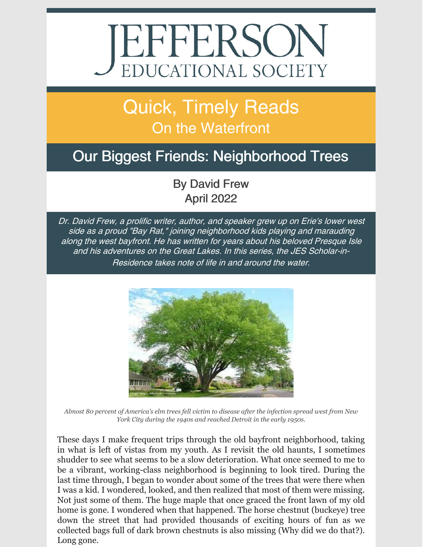# JEFFERSON

# Quick, Timely Reads **On the Waterfront**

## Our Biggest Friends: Neighborhood Trees

### By David Frew April 2022

Dr. David Frew, <sup>a</sup> prolific writer, author, and speaker grew up on Erie's lower west side as <sup>a</sup> proud "Bay Rat," joining neighborhood kids playing and marauding along the west bayfront. He has written for years about his beloved Presque Isle and his adventures on the Great Lakes. In this series, the JES Scholar-in-Residence takes note of life in and around the water.



Almost 80 percent of America's elm trees fell victim to disease after the infection spread west from New *York City during the 1940s and reached Detroit in the early 1950s.*

These days I make frequent trips through the old bayfront neighborhood, taking in what is left of vistas from my youth. As I revisit the old haunts, I sometimes shudder to see what seems to be a slow deterioration. What once seemed to me to be a vibrant, working-class neighborhood is beginning to look tired. During the last time through, I began to wonder about some of the trees that were there when I was a kid. I wondered, looked, and then realized that most of them were missing. Not just some of them. The huge maple that once graced the front lawn of my old home is gone. I wondered when that happened. The horse chestnut (buckeye) tree down the street that had provided thousands of exciting hours of fun as we collected bags full of dark brown chestnuts is also missing (Why did we do that?). Long gone.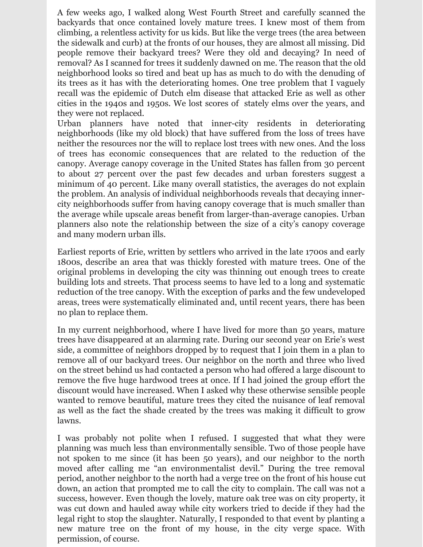A few weeks ago, I walked along West Fourth Street and carefully scanned the backyards that once contained lovely mature trees. I knew most of them from climbing, a relentless activity for us kids. But like the verge trees (the area between the sidewalk and curb) at the fronts of our houses, they are almost all missing. Did people remove their backyard trees? Were they old and decaying? In need of removal? As I scanned for trees it suddenly dawned on me. The reason that the old neighborhood looks so tired and beat up has as much to do with the denuding of its trees as it has with the deteriorating homes. One tree problem that I vaguely recall was the epidemic of Dutch elm disease that attacked Erie as well as other cities in the 1940s and 1950s. We lost scores of stately elms over the years, and they were not replaced.

Urban planners have noted that inner-city residents in deteriorating neighborhoods (like my old block) that have suffered from the loss of trees have neither the resources nor the will to replace lost trees with new ones. And the loss of trees has economic consequences that are related to the reduction of the canopy. Average canopy coverage in the United States has fallen from 30 percent to about 27 percent over the past few decades and urban foresters suggest a minimum of 40 percent. Like many overall statistics, the averages do not explain the problem. An analysis of individual neighborhoods reveals that decaying innercity neighborhoods suffer from having canopy coverage that is much smaller than the average while upscale areas benefit from larger-than-average canopies. Urban planners also note the relationship between the size of a city's canopy coverage and many modern urban ills.

Earliest reports of Erie, written by settlers who arrived in the late 1700s and early 1800s, describe an area that was thickly forested with mature trees. One of the original problems in developing the city was thinning out enough trees to create building lots and streets. That process seems to have led to a long and systematic reduction of the tree canopy. With the exception of parks and the few undeveloped areas, trees were systematically eliminated and, until recent years, there has been no plan to replace them.

In my current neighborhood, where I have lived for more than 50 years, mature trees have disappeared at an alarming rate. During our second year on Erie's west side, a committee of neighbors dropped by to request that I join them in a plan to remove all of our backyard trees. Our neighbor on the north and three who lived on the street behind us had contacted a person who had offered a large discount to remove the five huge hardwood trees at once. If I had joined the group effort the discount would have increased. When I asked why these otherwise sensible people wanted to remove beautiful, mature trees they cited the nuisance of leaf removal as well as the fact the shade created by the trees was making it difficult to grow lawns.

I was probably not polite when I refused. I suggested that what they were planning was much less than environmentally sensible. Two of those people have not spoken to me since (it has been 50 years), and our neighbor to the north moved after calling me "an environmentalist devil." During the tree removal period, another neighbor to the north had a verge tree on the front of his house cut down, an action that prompted me to call the city to complain. The call was not a success, however. Even though the lovely, mature oak tree was on city property, it was cut down and hauled away while city workers tried to decide if they had the legal right to stop the slaughter. Naturally, I responded to that event by planting a new mature tree on the front of my house, in the city verge space. With permission, of course.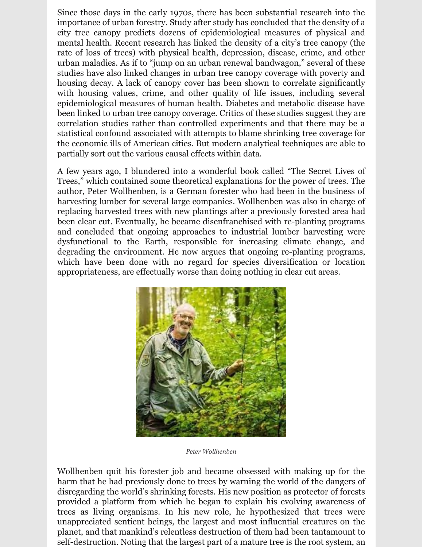Since those days in the early 1970s, there has been substantial research into the importance of urban forestry. Study after study has concluded that the density of a city tree canopy predicts dozens of epidemiological measures of physical and mental health. Recent research has linked the density of a city's tree canopy (the rate of loss of trees) with physical health, depression, disease, crime, and other urban maladies. As if to "jump on an urban renewal bandwagon," several of these studies have also linked changes in urban tree canopy coverage with poverty and housing decay. A lack of canopy cover has been shown to correlate significantly with housing values, crime, and other quality of life issues, including several epidemiological measures of human health. Diabetes and metabolic disease have been linked to urban tree canopy coverage. Critics of these studies suggest they are correlation studies rather than controlled experiments and that there may be a statistical confound associated with attempts to blame shrinking tree coverage for the economic ills of American cities. But modern analytical techniques are able to partially sort out the various causal effects within data.

A few years ago, I blundered into a wonderful book called "The Secret Lives of Trees," which contained some theoretical explanations for the power of trees. The author, Peter Wollhenben, is a German forester who had been in the business of harvesting lumber for several large companies. Wollhenben was also in charge of replacing harvested trees with new plantings after a previously forested area had been clear cut. Eventually, he became disenfranchised with re-planting programs and concluded that ongoing approaches to industrial lumber harvesting were dysfunctional to the Earth, responsible for increasing climate change, and degrading the environment. He now argues that ongoing re-planting programs, which have been done with no regard for species diversification or location appropriateness, are effectually worse than doing nothing in clear cut areas.



*Peter Wollhenben*

Wollhenben quit his forester job and became obsessed with making up for the harm that he had previously done to trees by warning the world of the dangers of disregarding the world's shrinking forests. His new position as protector of forests provided a platform from which he began to explain his evolving awareness of trees as living organisms. In his new role, he hypothesized that trees were unappreciated sentient beings, the largest and most influential creatures on the planet, and that mankind's relentless destruction of them had been tantamount to self-destruction. Noting that the largest part of a mature tree is the root system, an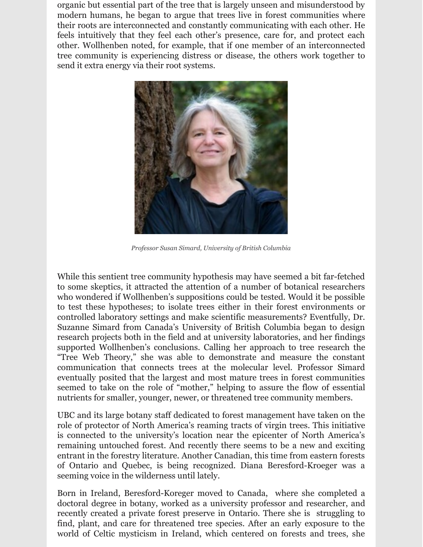organic but essential part of the tree that is largely unseen and misunderstood by modern humans, he began to argue that trees live in forest communities where their roots are interconnected and constantly communicating with each other. He feels intuitively that they feel each other's presence, care for, and protect each other. Wollhenben noted, for example, that if one member of an interconnected tree community is experiencing distress or disease, the others work together to send it extra energy via their root systems.



*Professor Susan Simard, University of British Columbia*

While this sentient tree community hypothesis may have seemed a bit far-fetched to some skeptics, it attracted the attention of a number of botanical researchers who wondered if Wollhenben's suppositions could be tested. Would it be possible to test these hypotheses; to isolate trees either in their forest environments or controlled laboratory settings and make scientific measurements? Eventfully, Dr. Suzanne Simard from Canada's University of British Columbia began to design research projects both in the field and at university laboratories, and her findings supported Wollhenben's conclusions. Calling her approach to tree research the "Tree Web Theory," she was able to demonstrate and measure the constant communication that connects trees at the molecular level. Professor Simard eventually posited that the largest and most mature trees in forest communities seemed to take on the role of "mother," helping to assure the flow of essential nutrients for smaller, younger, newer, or threatened tree community members.

UBC and its large botany staff dedicated to forest management have taken on the role of protector of North America's reaming tracts of virgin trees. This initiative is connected to the university's location near the epicenter of North America's remaining untouched forest. And recently there seems to be a new and exciting entrant in the forestry literature. Another Canadian, this time from eastern forests of Ontario and Quebec, is being recognized. Diana Beresford-Kroeger was a seeming voice in the wilderness until lately.

Born in Ireland, Beresford-Koreger moved to Canada, where she completed a doctoral degree in botany, worked as a university professor and researcher, and recently created a private forest preserve in Ontario. There she is struggling to find, plant, and care for threatened tree species. After an early exposure to the world of Celtic mysticism in Ireland, which centered on forests and trees, she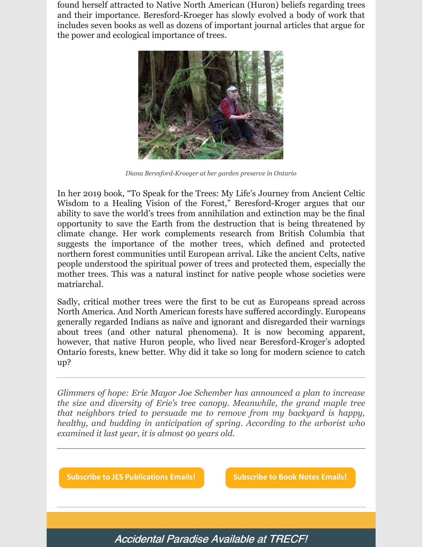found herself attracted to Native North American (Huron) beliefs regarding trees and their importance. Beresford-Kroeger has slowly evolved a body of work that includes seven books as well as dozens of important journal articles that argue for the power and ecological importance of trees.



*Diana Beresford-Kroeger at her garden preserve in Ontario*

In her 2019 book, "To Speak for the Trees: My Life's Journey from Ancient Celtic Wisdom to a Healing Vision of the Forest," Beresford-Kroger argues that our ability to save the world's trees from annihilation and extinction may be the final opportunity to save the Earth from the destruction that is being threatened by climate change. Her work complements research from British Columbia that suggests the importance of the mother trees, which defined and protected northern forest communities until European arrival. Like the ancient Celts, native people understood the spiritual power of trees and protected them, especially the mother trees. This was a natural instinct for native people whose societies were matriarchal.

Sadly, critical mother trees were the first to be cut as Europeans spread across North America. And North American forests have suffered accordingly. Europeans generally regarded Indians as naïve and ignorant and disregarded their warnings about trees (and other natural phenomena). It is now becoming apparent, however, that native Huron people, who lived near Beresford-Kroger's adopted Ontario forests, knew better. Why did it take so long for modern science to catch up?

*Glimmers of hope: Erie Mayor Joe Schember has announced a plan to increase the size and diversity of Erie's tree canopy. Meanwhile, the grand maple tree that neighbors tried to persuade me to remove from my backyard is happy, healthy, and budding in anticipation of spring. According to the arborist who examined it last year, it is almost 90 years old.*

**Subscribe to JES [Publications](https://lp.constantcontactpages.com/su/OYSOPRt/PublicationsSubscription?source_id=e674f99d-e3df-4cf0-9da4-03bed7c27885&source_type=em&c=) Emails! [Subscribe](https://lp.constantcontactpages.com/su/TXbaxH2/BookNotesSubscription?source_id=e674f99d-e3df-4cf0-9da4-03bed7c27885&source_type=em&c=) to Book Notes Emails!**

Accidental Paradise Available at TRECF!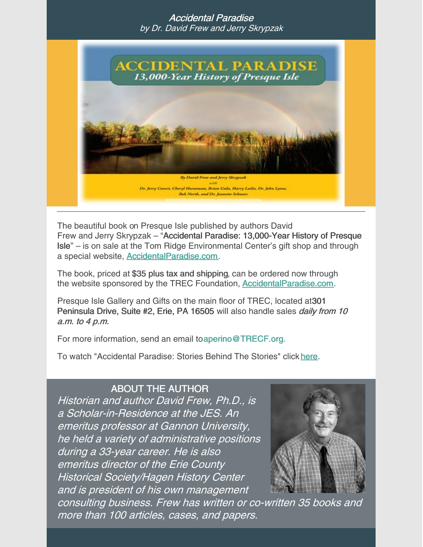#### Accidental Paradise by Dr. David Frew and Jerry Skrypzak



The beautiful book on Presque Isle published by authors David Frew and Jerry Skrypzak – "Accidental Paradise: 13,000-Year History of Presque Isle" – is on sale at the Tom Ridge Environmental Center's gift shop and through a special website, [AccidentalParadise.com](http://r20.rs6.net/tn.jsp?f=001EIJ4bWInbAgZbfubFkRC6CJbiNPBnDNmlUevQbPeCp1CHyPy1PudVT_GBGMKCgQkI5_hxwzW8RAuM_JPgy-OW4cwbEtSpi2bXvIzjjPOzDvf5Za4YQ6DXvK7wLRR56asG7Ya4wMn-TbrCz2fsITPjg==&c=WAaU3N0-L4YGB3ynOn-kUkgM_yiuLjPWr84Za7eXf1C6hqLg9eYUwQ==&ch=CjD0a-KMcO9BAvzxTmthj-rGDyoqC43eKwiy7Xv9UvzdH29THLJyEw==).

The book, priced at \$35 plus tax and shipping, can be ordered now through the website sponsored by the TREC Foundation, [AccidentalParadise.com](http://r20.rs6.net/tn.jsp?f=001EIJ4bWInbAgZbfubFkRC6CJbiNPBnDNmlUevQbPeCp1CHyPy1PudVSoSqIsYDhcA2SVqGDFbvwXgwDL8Czp1wjUocXtAllu6z186Q0Y8g_KhSkRdZX9w7zBMb3-ovne_jE0DF8YyX2sBzca0-7AbuWORKrz902cn9WpYIdN3_Ho=&c=WAaU3N0-L4YGB3ynOn-kUkgM_yiuLjPWr84Za7eXf1C6hqLg9eYUwQ==&ch=CjD0a-KMcO9BAvzxTmthj-rGDyoqC43eKwiy7Xv9UvzdH29THLJyEw==).

Presque Isle Gallery and Gifts on the main floor of TREC, located at301 Peninsula Drive, Suite #2, Erie, PA 16505 will also handle sales *daily from 10* a.m. to 4 p.m.

For more information, send an email to aperino@TRECF.org.

To watch "Accidental Paradise: Stories Behind The Stories" click [here](http://r20.rs6.net/tn.jsp?f=001EIJ4bWInbAgZbfubFkRC6CJbiNPBnDNmlUevQbPeCp1CHyPy1PudVSoSqIsYDhcADYmNoBPGxBZ1-4y1KleSguYPYDvB1zSMRerJBfcuaLH0e3z_VX77sufLH-MJ5RyfuLkHkTbnhg5-strVFZTtBg==&c=WAaU3N0-L4YGB3ynOn-kUkgM_yiuLjPWr84Za7eXf1C6hqLg9eYUwQ==&ch=CjD0a-KMcO9BAvzxTmthj-rGDyoqC43eKwiy7Xv9UvzdH29THLJyEw==).

#### ABOUT THE AUTHOR

Historian and author David Frew, Ph.D., is a Scholar-in-Residence at the JES. An emeritus professor at Gannon University, he held <sup>a</sup> variety of administrative positions during <sup>a</sup> 33-year career. He is also emeritus director of the Erie County Historical Society/Hagen History Center and is president of his own management



consulting business. Frew has written or co-written 35 books and more than 100 articles, cases, and papers.